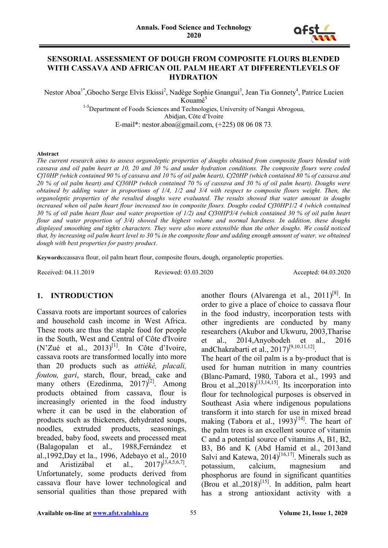

#### **SENSORIAL ASSESSMENT OF DOUGH FROM COMPOSITE FLOURS BLENDED WITH CASSAVA AND AFRICAN OIL PALM HEART AT DIFFERENTLEVELS OF HYDRATION**

Nestor Aboa<sup>1\*</sup>, Gbocho Serge Elvis Ekissi<sup>2</sup>, Nadège Sophie Gnangui<sup>3</sup>, Jean Tia Gonnety<sup>4</sup>, Patrice Lucien

Kouamé<sup>5</sup>

<sup>1-5</sup>Department of Foods Sciences and Technologies, University of Nangui Abrogoua,

Abidjan, Côte d'Ivoire

E-mail\*: nestor.aboa@gmail.com, (+225) 08 06 08 73.

#### **Abstract**

*The current research aims to assess organoleptic properties of doughs obtained from composite flours blended with cassava and oil palm heart at 10, 20 and 30 % and under hydration conditions. The composite flours were coded Cf10HP (which contained 90 % of cassava and 10 % of oil palm heart), Cf20HP (which contained 80 % of cassava and 20 % of oil palm heart) and Cf30HP (which contained 70 % of cassava and 30 % of oil palm heart). Doughs were obtained by adding water in proportions of 1/4, 1/2 and 3/4 with respect to composite flours weight. Then, the organoleptic properties of the resulted doughs were evaluated. The results showed that water amount in doughs*  increased when oil palm heart flour increased too in composite flours. Doughs coded Cf30HP1/2 4 (which contained *30 % of oil palm heart flour and water proportion of 1/2) and Cf30HP3/4 (which contained 30 % of oil palm heart flour and water proportion of 3/4) showed the highest volume and normal hardness. In addition, these doughs displayed smoothing and tights characters. They were also more extensible than the other doughs. We could noticed that, by increasing oil palm heart level to 30 % in the composite flour and adding enough amount of water, we obtained dough with best properties for pastry product*.

**Keywords:**cassava flour, oil palm heart flour, composite flours, dough, organoleptic properties.

Received: 04.11.2019 Reviewed: 03.03.2020 Accepted: 04.03.2020

# **1. INTRODUCTION**

Cassava roots are important sources of calories and household cash income in West Africa. These roots are thus the staple food for people in the South, West and Central of Côte d'Ivoire  $(N'Zu\acute{e}$  et al.,  $2013)^{[1]}$ . In Côte d'Ivoire, cassava roots are transformed locally into more than 20 products such as *attiéké, placali, foutou, gari*, starch, flour, bread, cake and many others (Ezedinma,  $2017$ <sup>[2]</sup>. Among products obtained from cassava, flour is increasingly oriented in the food industry where it can be used in the elaboration of products such as thickeners, dehydrated soups, noodles, extruded products, seasonings, breaded, baby food, sweets and processed meat (Balagopalan et al., 1988,Fernández et al.,1992,Day et la., 1996, Adebayo et al., 2010 and Aristizábal et al.,  $2017$ <sup>[3,4,5,6,7]</sup>. Unfortunately, some products derived from cassava flour have lower technological and sensorial qualities than those prepared with

another flours (Alvarenga et al.,  $2011$ <sup>[8]</sup>. In order to give a place of choice to cassava flour in the food industry, incorporation tests with other ingredients are conducted by many researchers (Akubor and Ukwuru, 2003,Tharise et al., 2014,Anyobodeh et al., 2016 andChakrabarti et al., 2017)[9,10,11,12].

The heart of the oil palm is a by-product that is used for human nutrition in many countries (Blanc-Pamard, 1980, Tabora et al., 1993 and Brou et al.,  $2018$ <sup>[13,14,15]</sup>. Its incorporation into flour for technological purposes is observed in Southeast Asia where indigenous populations transform it into starch for use in mixed bread making (Tabora et al.,  $1993$ )<sup>[14]</sup>. The heart of the palm trees is an excellent source of vitamin C and a potential source of vitamins A, B1, B2, B3, B6 and K (Abd Hamid et al., 2013and Salvi and Katewa,  $2014$ <sup>[16,17]</sup>. Minerals such as potassium, calcium, magnesium and phosphorus are found in significant quantities (Brou et al.,  $2018$ <sup>[15]</sup>. In addition, palm heart has a strong antioxidant activity with a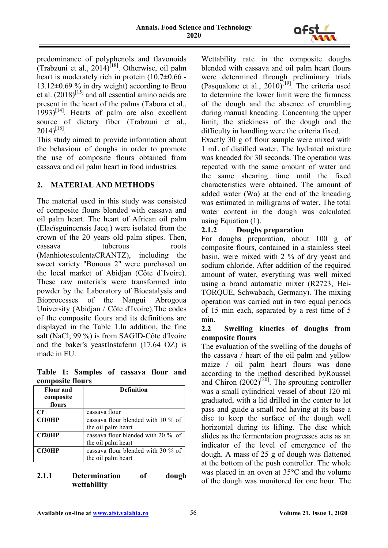

predominance of polyphenols and flavonoids (Trabzuni et al.,  $2014$ )<sup>[18]</sup>. Otherwise, oil palm heart is moderately rich in protein  $(10.7\pm0.66 13.12\pm0.69$  % in dry weight) according to Brou et al.  $(2018)^{[15]}$  and all essential amino acids are present in the heart of the palms (Tabora et al.,  $1993$ <sup>[14]</sup>. Hearts of palm are also excellent source of dietary fiber (Trabzuni et al.,  $2014)^{[18]}$ .

This study aimed to provide information about the behaviour of doughs in order to promote the use of composite flours obtained from cassava and oil palm heart in food industries.

# **2. MATERIAL AND METHODS**

The material used in this study was consisted of composite flours blended with cassava and oil palm heart. The heart of African oil palm (Elaeïsguineensis Jacq.) were isolated from the crown of the 20 years old palm stipes. Then, cassava tuberous roots (ManhiotesculentaCRANTZ), including the sweet variety "Bonoua 2" were purchased on the local market of Abidjan (Côte d'Ivoire). These raw materials were transformed into powder by the Laboratory of Biocatalysis and Bioprocesses of the Nangui Abrogoua University (Abidjan / Côte d'Ivoire).The codes of the composite flours and its definitions are displayed in the Table 1.In addition, the fine salt (NaCl; 99 %) is from SAGID-Côte d'Ivoire and the baker's yeastInstaferm (17.64 OZ) is made in EU.

**Table 1: Samples of cassava flour and composite flours**

| composite nours<br><b>Flour</b> and | <b>Definition</b>                  |
|-------------------------------------|------------------------------------|
| composite                           |                                    |
| flours                              |                                    |
| Cf                                  | cassava flour                      |
| <b>Cf10HP</b>                       | cassava flour blended with 10 % of |
|                                     | the oil palm heart                 |
| Cf20HP                              | cassava flour blended with 20 % of |
|                                     | the oil palm heart                 |
| Cf30HP                              | cassava flour blended with 30 % of |
|                                     | the oil palm heart                 |

# **2.1.1 Determination of dough wettability**

Wettability rate in the composite doughs blended with cassava and oil palm heart flours were determined through preliminary trials (Pasqualone et al.,  $2010$ <sup>[19]</sup>. The criteria used to determine the lower limit were the firmness of the dough and the absence of crumbling during manual kneading. Concerning the upper limit, the stickiness of the dough and the difficulty in handling were the criteria fixed.

Exactly 30 g of flour sample were mixed with 1 mL of distilled water. The hydrated mixture was kneaded for 30 seconds. The operation was repeated with the same amount of water and the same shearing time until the fixed characteristics were obtained. The amount of added water (Wa) at the end of the kneading was estimated in milligrams of water. The total water content in the dough was calculated using Equation (1).

# **2.1.2 Doughs preparation**

For doughs preparation, about 100 g of composite flours, contained in a stainless steel basin, were mixed with 2 % of dry yeast and sodium chloride. After addition of the required amount of water, everything was well mixed using a brand automatic mixer (R2723, Hei-TORQUE, Schwabach, Germany). The mixing operation was carried out in two equal periods of 15 min each, separated by a rest time of 5 min.

### **2.2 Swelling kinetics of doughs from composite flours**

The evaluation of the swelling of the doughs of the cassava / heart of the oil palm and yellow maize / oil palm heart flours was done according to the method described byRoussel and Chiron  $(2002)^{[20]}$ . The sprouting controller was a small cylindrical vessel of about 120 ml graduated, with a lid drilled in the center to let pass and guide a small rod having at its base a disc to keep the surface of the dough well horizontal during its lifting. The disc which slides as the fermentation progresses acts as an indicator of the level of emergence of the dough. A mass of 25 g of dough was flattened at the bottom of the push controller. The whole was placed in an oven at 35°C and the volume of the dough was monitored for one hour. The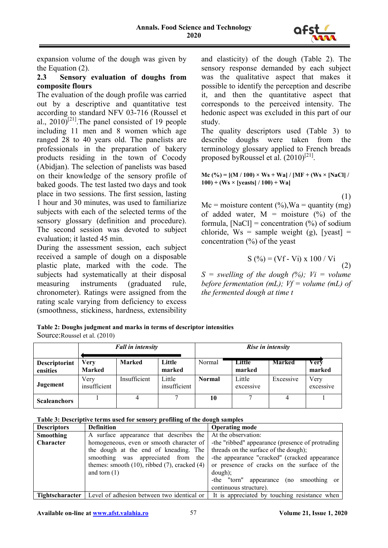

expansion volume of the dough was given by the Equation (2).

# **2.3 Sensory evaluation of doughs from composite flours**

The evaluation of the dough profile was carried out by a descriptive and quantitative test according to standard NFV 03-716 (Roussel et al.,  $2010$ <sup>[21]</sup>. The panel consisted of 19 people including 11 men and 8 women which age ranged 28 to 40 years old. The panelists are professionals in the preparation of bakery products residing in the town of Cocody (Abidjan). The selection of panelists was based on their knowledge of the sensory profile of baked goods. The test lasted two days and took place in two sessions. The first session, lasting 1 hour and 30 minutes, was used to familiarize subjects with each of the selected terms of the sensory glossary (definition and procedure). The second session was devoted to subject evaluation; it lasted 45 min.

During the assessment session, each subject received a sample of dough on a disposable plastic plate, marked with the code. The subjects had systematically at their disposal measuring instruments (graduated rule, chronometer). Ratings were assigned from the rating scale varying from deficiency to excess (smoothness, stickiness, hardness, extensibility

and elasticity) of the dough (Table 2). The sensory response demanded by each subject was the qualitative aspect that makes it possible to identify the perception and describe it, and then the quantitative aspect that corresponds to the perceived intensity. The hedonic aspect was excluded in this part of our study.

The quality descriptors used (Table 3) to describe doughs were taken from the terminology glossary applied to French breads proposed byRoussel et al.  $(2010)^{[21]}$ .

 $Mc (%) = [(M / 100) \times Ws + Wa]/[MF + (Ws \times [NaCl]/$ **100) + (Ws × [yeasts] / 100) + Wa]** 

$$
(1) \quad
$$

 $Mc = moisture content (%)$ ,  $Wa = quantity (mg)$ of added water,  $M = \text{moisture } (\%)$  of the formula,  $[NaCl] =$  concentration  $(\%)$  of sodium chloride,  $Ws =$  sample weight (g), [yeast] = concentration  $(\%)$  of the yeast

$$
S(%)=(Vf-Vi) \times 100 / Vi
$$
 (2)

 $S =$  swelling of the dough  $(%)$ ;  $Vi =$  volume *before fermentation (mL); Vf = volume (mL) of the fermented dough at time t*

| Table 2: Doughs judgment and marks in terms of descriptor intensities |
|-----------------------------------------------------------------------|
| Source: Roussel et al. (2010)                                         |

|                           | <b>Fall in intensity</b>     |               |                        | Rise in intensity |                     |               |                   |
|---------------------------|------------------------------|---------------|------------------------|-------------------|---------------------|---------------|-------------------|
| Descriptorint<br>ensities | <b>Very</b><br><b>Marked</b> | <b>Marked</b> | Little<br>marked       | Normal            | Little<br>marked    | <b>Marked</b> | Verv<br>marked    |
| Jugement                  | Very<br>insufficient         | Insufficient  | Little<br>insufficient | <b>Normal</b>     | Little<br>excessive | Excessive     | Very<br>excessive |
| <b>Scaleanchors</b>       |                              |               |                        | 10                |                     |               |                   |

**Table 3: Descriptive terms used for sensory profiling of the dough samples**

| <b>Descriptors</b> | <b>Definition</b>                                                   | <b>Operating mode</b>                            |  |  |  |
|--------------------|---------------------------------------------------------------------|--------------------------------------------------|--|--|--|
| Smoothing          | A surface appearance that describes the                             | At the observation:                              |  |  |  |
| <b>Character</b>   | homogeneous, even or smooth character of                            | -the "ribbed" appearance (presence of protruding |  |  |  |
|                    | the dough at the end of kneading. The                               | threads on the surface of the dough);            |  |  |  |
|                    | smoothing was appreciated from the                                  | -the appearance "cracked" (cracked appearance    |  |  |  |
|                    | themes: smooth $(10)$ , ribbed $(7)$ , cracked $(4)$                | or presence of cracks on the surface of the      |  |  |  |
|                    | and torn $(1)$                                                      | $dough$ ;                                        |  |  |  |
|                    |                                                                     | -the "torn" appearance (no smoothing or          |  |  |  |
|                    |                                                                     | continuous structure).                           |  |  |  |
|                    | <b>Tightscharacter</b>   Level of adhesion between two identical or | It is appreciated by touching resistance when    |  |  |  |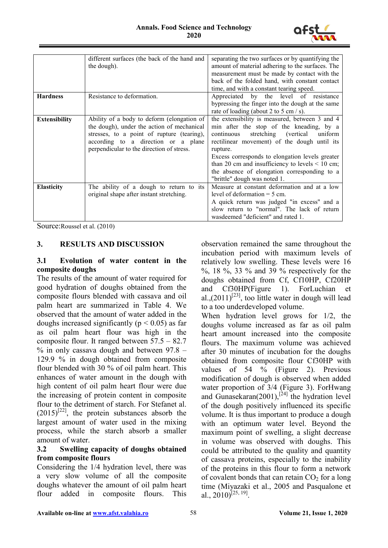

|                      | different surfaces (the back of the hand and | separating the two surfaces or by quantifying the    |  |  |  |
|----------------------|----------------------------------------------|------------------------------------------------------|--|--|--|
|                      | the dough).                                  | amount of material adhering to the surfaces. The     |  |  |  |
|                      |                                              | measurement must be made by contact with the         |  |  |  |
|                      |                                              | back of the folded hand, with constant contact       |  |  |  |
|                      |                                              | time, and with a constant tearing speed.             |  |  |  |
|                      |                                              |                                                      |  |  |  |
| <b>Hardness</b>      | Resistance to deformation.                   | Appreciated by the level of resistance               |  |  |  |
|                      |                                              | bypressing the finger into the dough at the same     |  |  |  |
|                      |                                              | rate of loading (about 2 to 5 cm $/$ s).             |  |  |  |
| <b>Extensibility</b> | Ability of a body to deform (elongation of   | the extensibility is measured, between 3 and 4       |  |  |  |
|                      | the dough), under the action of mechanical   | min after the stop of the kneading, by a             |  |  |  |
|                      |                                              |                                                      |  |  |  |
|                      | stresses, to a point of rupture (tearing),   | stretching (vertical<br>continuous<br>uniform        |  |  |  |
|                      | according to a direction or a plane          | rectilinear movement) of the dough until its         |  |  |  |
|                      | perpendicular to the direction of stress.    | rupture.                                             |  |  |  |
|                      |                                              | Excess corresponds to elongation levels greater      |  |  |  |
|                      |                                              | than 20 cm and insufficiency to levels $\leq 10$ cm; |  |  |  |
|                      |                                              | the absence of elongation corresponding to a         |  |  |  |
|                      |                                              | "brittle" dough was noted 1.                         |  |  |  |
|                      |                                              |                                                      |  |  |  |
| <b>Elasticity</b>    | The ability of a dough to return to its      | Measure at constant deformation and at a low         |  |  |  |
|                      | original shape after instant stretching.     | level of deformation $=$ 5 cm.                       |  |  |  |
|                      |                                              | A quick return was judged "in excess" and a          |  |  |  |
|                      |                                              | slow return to "normal". The lack of return          |  |  |  |
|                      |                                              | wasdeemed "deficient" and rated 1.                   |  |  |  |
|                      |                                              |                                                      |  |  |  |

Source:Roussel et al. (2010)

#### **3. RESULTS AND DISCUSSION**

### **3.1 Evolution of water content in the composite doughs**

The results of the amount of water required for good hydration of doughs obtained from the composite flours blended with cassava and oil palm heart are summarized in Table 4. We observed that the amount of water added in the doughs increased significantly ( $p < 0.05$ ) as far as oil palm heart flour was high in the composite flour. It ranged between 57.5 – 82.7  $%$  in only cassava dough and between 97.8 – 129.9 % in dough obtained from composite flour blended with 30 % of oil palm heart. This enhances of water amount in the dough with high content of oil palm heart flour were due the increasing of protein content in composite flour to the detriment of starch. For Stefanet al.  $(2015)^{[22]}$ , the protein substances absorb the largest amount of water used in the mixing process, while the starch absorb a smaller amount of water.

# **3.2 Swelling capacity of doughs obtained from composite flours**

Considering the 1/4 hydration level, there was a very slow volume of all the composite doughs whatever the amount of oil palm heart flour added in composite flours. This

observation remained the same throughout the incubation period with maximum levels of relatively low swelling. These levels were 16 %, 18 %, 33 % and 39 % respectively for the doughs obtained from Cf, Cf10HP, Cf20HP and Cf30HP(Figure 1). ForLuchian et al., $(2011)^{[23]}$ , too little water in dough will lead to a too underdeveloped volume.

When hydration level grows for 1/2, the doughs volume increased as far as oil palm heart amount increased into the composite flours. The maximum volume was achieved after 30 minutes of incubation for the doughs obtained from composite flour Cf30HP with values of 54 % (Figure 2). Previous modification of dough is observed when added water proportion of 3/4 (Figure 3). ForHwang and Gunasekaran(2001),<sup>[24]</sup> the hydration level of the dough positively influenced its specific volume. It is thus important to produce a dough with an optimum water level. Beyond the maximum point of swelling, a slight decrease in volume was observed with doughs. This could be attributed to the quality and quantity of cassava proteins, especially to the inability of the proteins in this flour to form a network of covalent bonds that can retain  $CO<sub>2</sub>$  for a long time (Miyazaki et al., 2005 and Pasqualone et al.,  $2010$ <sup>[25, 19]</sup>.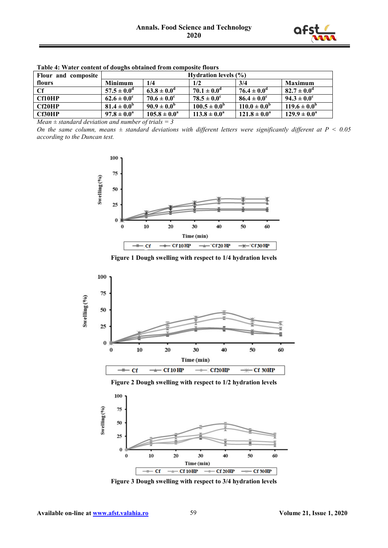

| Flour and composite | <b>Hydration levels (%)</b> |                         |                         |                         |                         |  |
|---------------------|-----------------------------|-------------------------|-------------------------|-------------------------|-------------------------|--|
| flours              | <b>Minimum</b>              | 1/4                     | 1/2                     | 3/4                     | Maximum                 |  |
| -Cf                 | $57.5 \pm 0.0^{\circ}$      | $63.8 \pm 0.0^{\circ}$  | $70.1 \pm 0.0^{\circ}$  | $76.4 \pm 0.0^{\circ}$  | $82.7 \pm 0.0^{\rm d}$  |  |
| <b>Cf10HP</b>       | $62.6 \pm 0.0^{\circ}$      | $70.6 \pm 0.0^{\circ}$  | $78.5 \pm 0.0^{\circ}$  | $86.4 \pm 0.0^{\circ}$  | $94.3 \pm 0.0^{\circ}$  |  |
| Cf20HP              | $81.4 \pm 0.0^{\circ}$      | $90.9 \pm 0.0^6$        | $100.5 \pm 0.0^{\circ}$ | $110.0 \pm 0.0^{\circ}$ | $119.6 \pm 0.0^{\rm b}$ |  |
| Cf30HP              | $97.8 \pm 0.0^{\circ}$      | $105.8 \pm 0.0^{\circ}$ | $113.8 \pm 0.0^{\circ}$ | $121.8 \pm 0.0^{\circ}$ | $129.9 \pm 0.0^a$       |  |

**Table 4: Water content of doughs obtained from composite flours**

*Mean ± standard deviation and number of trials = 3*

*On the same column, means ± standard deviations with different letters were significantly different at P ˂ 0.05 according to the Duncan test.*



**Figure 1 Dough swelling with respect to 1/4 hydration levels**





**Figure 3 Dough swelling with respect to 3/4 hydration levels**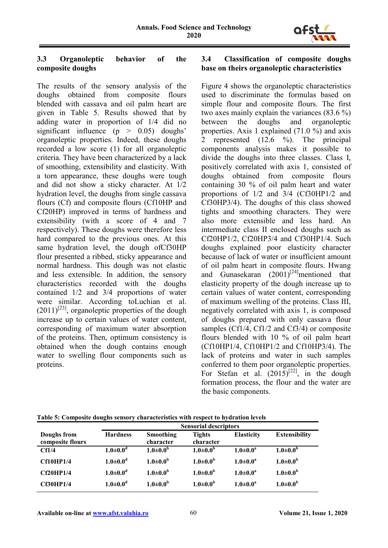

# **3.3 Organoleptic behavior of the composite doughs**

The results of the sensory analysis of the doughs obtained from composite flours blended with cassava and oil palm heart are given in Table 5. Results showed that by adding water in proportion of 1/4 did no significant influence  $(p > 0.05)$  doughs' organoleptic properties. Indeed, these doughs recorded a low score (1) for all organoleptic criteria. They have been characterized by a lack of smoothing, extensibility and elasticity. With a torn appearance, these doughs were tough and did not show a sticky character. At 1/2 hydration level, the doughs from single cassava flours (Cf) and composite flours (Cf10HP and Cf20HP) improved in terms of hardness and extensibility (with a score of 4 and 7 respectively). These doughs were therefore less hard compared to the previous ones. At this same hydration level, the dough ofCf30HP flour presented a ribbed, sticky appearance and normal hardness. This dough was not elastic and less extensible. In addition, the sensory characteristics recorded with the doughs contained 1/2 and 3/4 proportions of water were similar. According toLuchian et al.  $(2011)^{[23]}$ , organoleptic properties of the dough increase up to certain values of water content, corresponding of maximum water absorption of the proteins. Then, optimum consistency is obtained when the dough contains enough water to swelling flour components such as proteins.

## **3.4 Classification of composite doughs base on theirs organoleptic characteristics**

Figure 4 shows the organoleptic characteristics used to discriminate the formulas based on simple flour and composite flours. The first two axes mainly explain the variances (83.6 %) between the doughs and organoleptic properties. Axis 1 explained (71.0 %) and axis 2 represented (12.6 %). The principal components analysis makes it possible to divide the doughs into three classes. Class I, positively correlated with axis 1, consisted of doughs obtained from composite flours containing 30 % of oil palm heart and water proportions of 1/2 and 3/4 (Cf30HP1/2 and Cf30HP3/4). The doughs of this class showed tights and smoothing characters. They were also more extensible and less hard. An intermediate class II enclosed doughs such as Cf20HP1/2, Cf20HP3/4 and Cf30HP1/4. Such doughs explained poor elasticity character because of lack of water or insufficient amount of oil palm heart in composite flours. Hwang and Gunasekaran  $(2001)^{[24]}$ mentioned that elasticity property of the dough increase up to certain values of water content, corresponding of maximum swelling of the proteins. Class III, negatively correlated with axis 1, is composed of doughs prepared with only cassava flour samples (Cf1/4, Cf1/2 and Cf3/4) or composite flours blended with 10 % of oil palm heart (Cf10HP1/4, Cf10HP1/2 and Cf10HP3/4). The lack of proteins and water in such samples conferred to them poor organoleptic properties. For Stefan et al.  $(2015)^{[22]}$ , in the dough formation process, the flour and the water are the basic components.

|                                 | <b>Sensorial descriptors</b> |                        |                            |                   |                       |
|---------------------------------|------------------------------|------------------------|----------------------------|-------------------|-----------------------|
| Doughs from<br>composite flours | <b>Hardness</b>              | Smoothing<br>character | <b>Tights</b><br>character | <b>Elasticity</b> | <b>Extensibility</b>  |
| Cf1/4                           | $1.0 \pm 0.0^d$              | $1.0 \pm 0.0^{\rm b}$  | $1.0 \pm 0.0^{\rm b}$      | $1.0 \pm 0.0^a$   | $1.0 \pm 0.0^{\rm b}$ |
| <b>Cf10HP1/4</b>                | $1.0 \pm 0.0$ <sup>d</sup>   | $1.0{\pm}0.0^b$        | $1.0 \pm 0.0^{\rm b}$      | $1.0 \pm 0.0^a$   | $1.0{\pm}0.0^{\rm b}$ |
| Cf20HP1/4                       | $1.0 \pm 0.0^d$              | $1.0{\pm}0.0^b$        | $1.0 \pm 0.0^{\rm b}$      | $1.0 \pm 0.0^a$   | $1.0{\pm}0.0^{\rm b}$ |
| <b>Cf30HP1/4</b>                | $1.0 \pm 0.0^d$              | $1.0{\pm}0.0^b$        | $1.0 \pm 0.0^b$            | $1.0 \pm 0.0^a$   | $1.0 \pm 0.0^{\rm b}$ |

**Table 5: Composite doughs sensory characteristics with respect to hydration levels**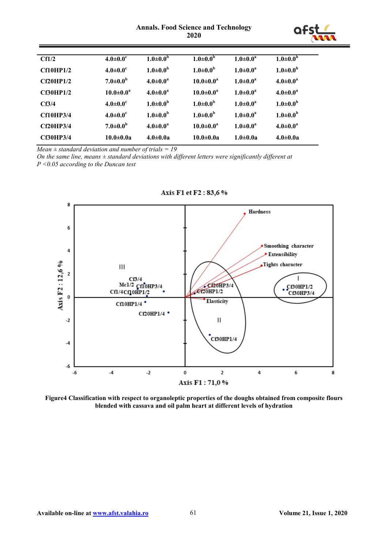#### **Annals. Food Science and Technology 2020**



| CH1/2             | $4.0{\pm}0.0^c$            | $1.0 \pm 0.0^{\rm b}$ | $1.0{\pm}0.0^b$       | $1.0 \pm 0.0^a$ | $1.0 \pm 0.0$ <sup>5</sup> |
|-------------------|----------------------------|-----------------------|-----------------------|-----------------|----------------------------|
| Cf10HP1/2         | $4.0 \pm 0.0^c$            | $1.0 \pm 0.0^{\rm b}$ | $1.0 \pm 0.0^{\rm b}$ | $1.0 \pm 0.0^a$ | $1.0 \pm 0.0^{\rm b}$      |
| Cf20HP1/2         | $7.0 \pm 0.0^{\rm b}$      | $4.0 \pm 0.0^a$       | $10.0 \pm 0.0^a$      | $1.0 \pm 0.0^a$ | $4.0 \pm 0.0^a$            |
| Cf30HP1/2         | $10.0 \pm 0.0^a$           | $4.0 \pm 0.0^a$       | $10.0 \pm 0.0^a$      | $1.0 \pm 0.0^a$ | $4.0 \pm 0.0^a$            |
| CF <sub>3/4</sub> | $4.0 \pm 0.0$ <sup>c</sup> | $1.0 \pm 0.0^{\rm b}$ | $1.0 \pm 0.0^{\rm b}$ | $1.0 \pm 0.0^a$ | $1.0 \pm 0.0^{\rm b}$      |
| <b>Cf10HP3/4</b>  | $4.0 \pm 0.0^c$            | $1.0 \pm 0.0^{\rm b}$ | $1.0 \pm 0.0^{\rm b}$ | $1.0 \pm 0.0^a$ | $1.0{\pm}0.0^{\rm b}$      |
| <b>Cf20HP3/4</b>  | $7.0 \pm 0.0^b$            | $4.0 \pm 0.0^a$       | $10.0 \pm 0.0^a$      | $1.0 \pm 0.0^a$ | $4.0 \pm 0.0^a$            |
| <b>Cf30HP3/4</b>  | $10.0 \pm 0.0a$            | $4.0 \pm 0.0a$        | $10.0 \pm 0.0a$       | $1.0 \pm 0.0a$  | $4.0 \pm 0.0a$             |
|                   |                            |                       |                       |                 |                            |

*Mean ± standard deviation and number of trials = 19*

*On the same line, means ± standard deviations with different letters were significantly different at P ˂0.05 according to the Duncan test*



Axis F1 et F2:83,6%

**Figure4 Classification with respect to organoleptic properties of the doughs obtained from composite flours blended with cassava and oil palm heart at different levels of hydration**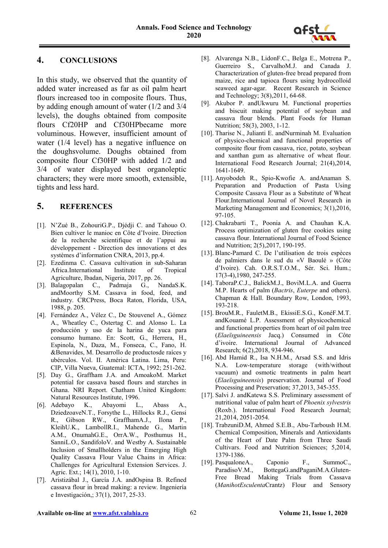

# **4. CONCLUSIONS**

In this study, we observed that the quantity of added water increased as far as oil palm heart flours increased too in composite flours. Thus, by adding enough amount of water (1/2 and 3/4 levels), the doughs obtained from composite flours Cf20HP and Cf30HPbecame more voluminous. However, insufficient amount of water (1/4 level) has a negative influence on the doughsvolume. Doughs obtained from composite flour Cf30HP with added 1/2 and 3/4 of water displayed best organoleptic characters; they were more smooth, extensible, tights and less hard.

# **5. REFERENCES**

- [1]. N'Zué B., ZohouriG.P., Djédji C. and Tahouo O. Bien cultiver le manioc en Côte d'Ivoire. Direction de la recherche scientifique et de l'appui au développement - Direction des innovations et des systèmes d'information CNRA, 2013, pp.4.
- [2]. Ezedinma C. Cassava cultivation in sub-Saharan Africa.International Institute of Tropical Agriculture, Ibadan, Nigeria, 2017, pp. 26.
- [3]. Balagopalan C., Padmaja G., NandaS.K. andMoorthy S.M. Cassava in food, feed, and industry. CRCPress, Boca Raton, Florida, USA, 1988, p. 205.
- [4]. Fernández A., Vélez C., De Stouvenel A., Gómez A., Wheatley C., Ostertag C. and Alonso L. La producción y uso de la harina de yuca para consumo humano. En: Scott, G., Herrera, H., Espinola, N., Daza, M., Fonseca, C., Fano, H. &Benavides, M. Desarrollo de productosde raíces y ubérculos. Vol. II. América Latina. Lima, Peru: CIP, Villa Nueva, Guatemal: ICTA, 1992; 251-262.
- [5]. Day G., Graffham J.A. and AmoakoM. Market potential for cassava based flours and starches in Ghana. NRI Report. Chatham United Kingdom: Natural Resources Institute, 1996.
- [6]. Adebayo K., Abayomi L., Abass A., DziedzoaveN.T., Forsythe L., Hillocks R.J., Gensi R., Gibson RW., GraffhamA.J., Ilona P., KleihU.K., LambollR.I., Mahende G., Martin A.M., OnumahG.E., OrrA.W., Posthumus H., SanniL.O., SandifoloV. and Westby A. Sustainable Inclusion of Smallholders in the Emerging High Quality Cassava Flour Value Chains in Africa: Challenges for Agricultural Extension Services. J. Agric. Ext.; 14(1), 2010, 1-10.
- [7]. Aristizábal J., García J.A. andOspina B. Refined cassava flour in bread making: a review. Ingeniería e Investigación,; 37(1), 2017, 25-33.
- [8]. Alvarenga N.B., LidonF.C., Belga E., Motrena P., Guerreiro S., CarvalhoM.J. and Canada J. Characterization of gluten-free bread prepared from maize, rice and tapioca flours using hydrocolloid seaweed agar-agar. Recent Research in Science and Technology; 3(8),2011, 64-68.
- [9]. Akubor P. andUkwuru M. Functional properties and biscuit making potential of soybean and cassava flour blends. Plant Foods for Human Nutrition; 58(3), 2003, 1-12.
- [10]. Tharise N., Julianti E. andNurminah M. Evaluation of physico-chemical and functional properties of composite flour from cassava, rice, potato, soybean and xanthan gum as alternative of wheat flour. International Food Research Journal; 21(4),2014, 1641-1649.
- [11]. Anyobodeh R., Spio-Kwofie A. andAnaman S. Preparation and Production of Pasta Using Composite Cassava Flour as a Substitute of Wheat Flour.International Journal of Novel Research in Marketing Management and Economics; 3(1),2016, 97-105.
- [12]. Chakrabarti T., Poonia A. and Chauhan K.A. Process optimization of gluten free cookies using cassava flour. International Journal of Food Science and Nutrition; 2(5),2017, 190-195.
- [13]. Blanc-Pamard C. De l'utilisation de trois espèces de palmiers dans le sud du «V Baoulé » (Côte d'Ivoire). Cah. O.R.S.T.O.M., Sér. Sci. Hum.; 17(3-4),1980, 247-255.
- [14]. TaboraP.C.J., BalickM.J., BoviM.L.A. and Guerra M.P. Hearts of palm (*Bactris*, *Euterpe* and others). Chapman & Hall. Boundary Row, London, 1993, 193-218.
- [15]. BrouM.R., FauletM.B., EkissiE.S.G., KonéF.M.T. andKouamé L.P. Assessment of physicochemical and functional properties from heart of oil palm tree (*Elaeïsguineensis* Jacq.) Consumed in Côte d'ivoire. International Journal of Advanced Research; 6(2),2018, 934-946.
- [16]. Abd Hamid R., Isa N.H.M., Arsad S.S. and Idris N.A. Low-temperature storage (with/without vacuum) and osmotic treatments in palm heart (*Elaeïsguineensis*) preservation. Journal of Food Processing and Preservation; 37,2013, 345-355.
- [17]. Salvi J. andKatewa S.S. Preliminary assessment of nutritional value of palm heart of *Phoenix sylvestris* (Roxb.). International Food Research Journal; 21,2014, 2051-2054.
- [18]. TrabzuniD.M, Ahmed S.E.B., Abu-Tarboush H.M. Chemical Composition, Minerals and Antioxidants of the Heart of Date Palm from Three Saudi Cultivars. Food and Nutrition Sciences; 5,2014, 1379-1386.
- [19]. PasqualoneA., Caponio F., SummoC., ParadisoV.M., BottegaG.andPaganiM.A.Gluten-Free Bread Making Trials from Cassava (*ManihotEsculenta*Crantz) Flour and Sensory